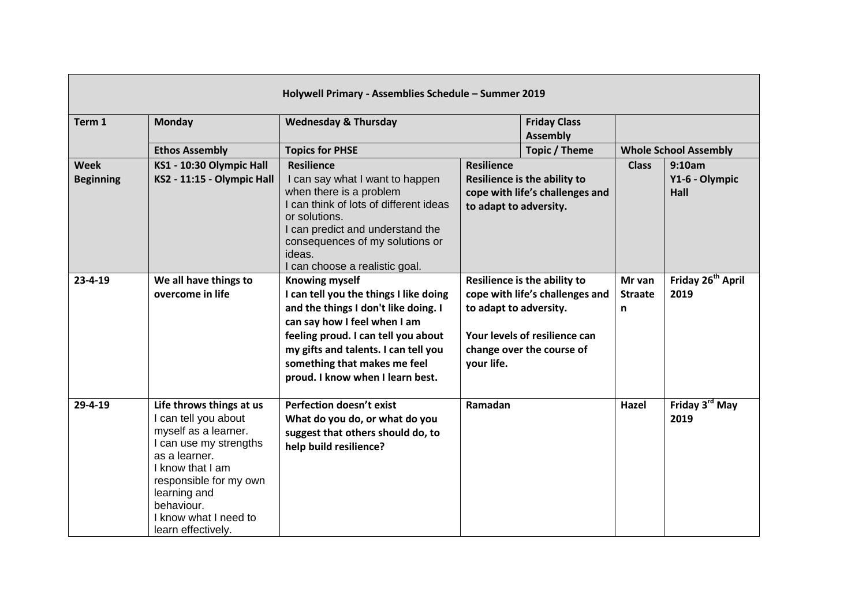| Holywell Primary - Assemblies Schedule - Summer 2019 |                                                                                                                                                                                                                                                |                                                                                                                                                                                                                                                                                            |                                             |                                                                                                                               |                               |                                         |
|------------------------------------------------------|------------------------------------------------------------------------------------------------------------------------------------------------------------------------------------------------------------------------------------------------|--------------------------------------------------------------------------------------------------------------------------------------------------------------------------------------------------------------------------------------------------------------------------------------------|---------------------------------------------|-------------------------------------------------------------------------------------------------------------------------------|-------------------------------|-----------------------------------------|
| Term 1                                               | <b>Monday</b>                                                                                                                                                                                                                                  | <b>Wednesday &amp; Thursday</b>                                                                                                                                                                                                                                                            |                                             | <b>Friday Class</b><br><b>Assembly</b>                                                                                        |                               |                                         |
|                                                      | <b>Ethos Assembly</b>                                                                                                                                                                                                                          | <b>Topics for PHSE</b>                                                                                                                                                                                                                                                                     |                                             | Topic / Theme                                                                                                                 |                               | <b>Whole School Assembly</b>            |
| <b>Week</b><br><b>Beginning</b>                      | KS1 - 10:30 Olympic Hall<br>KS2 - 11:15 - Olympic Hall                                                                                                                                                                                         | <b>Resilience</b><br>I can say what I want to happen<br>when there is a problem<br>I can think of lots of different ideas<br>or solutions.<br>I can predict and understand the<br>consequences of my solutions or<br>ideas.<br>I can choose a realistic goal.                              | <b>Resilience</b><br>to adapt to adversity. | Resilience is the ability to<br>cope with life's challenges and                                                               | <b>Class</b>                  | 9:10am<br>Y1-6 - Olympic<br><b>Hall</b> |
| $23 - 4 - 19$                                        | We all have things to<br>overcome in life                                                                                                                                                                                                      | <b>Knowing myself</b><br>I can tell you the things I like doing<br>and the things I don't like doing. I<br>can say how I feel when I am<br>feeling proud. I can tell you about<br>my gifts and talents. I can tell you<br>something that makes me feel<br>proud. I know when I learn best. | to adapt to adversity.<br>your life.        | Resilience is the ability to<br>cope with life's challenges and<br>Your levels of resilience can<br>change over the course of | Mr van<br><b>Straate</b><br>n | Friday 26 <sup>th</sup> April<br>2019   |
| $29 - 4 - 19$                                        | Life throws things at us<br>I can tell you about<br>myself as a learner.<br>I can use my strengths<br>as a learner.<br>I know that I am<br>responsible for my own<br>learning and<br>behaviour.<br>I know what I need to<br>learn effectively. | <b>Perfection doesn't exist</b><br>What do you do, or what do you<br>suggest that others should do, to<br>help build resilience?                                                                                                                                                           | Ramadan                                     |                                                                                                                               | Hazel                         | Friday 3 <sup>rd</sup> May<br>2019      |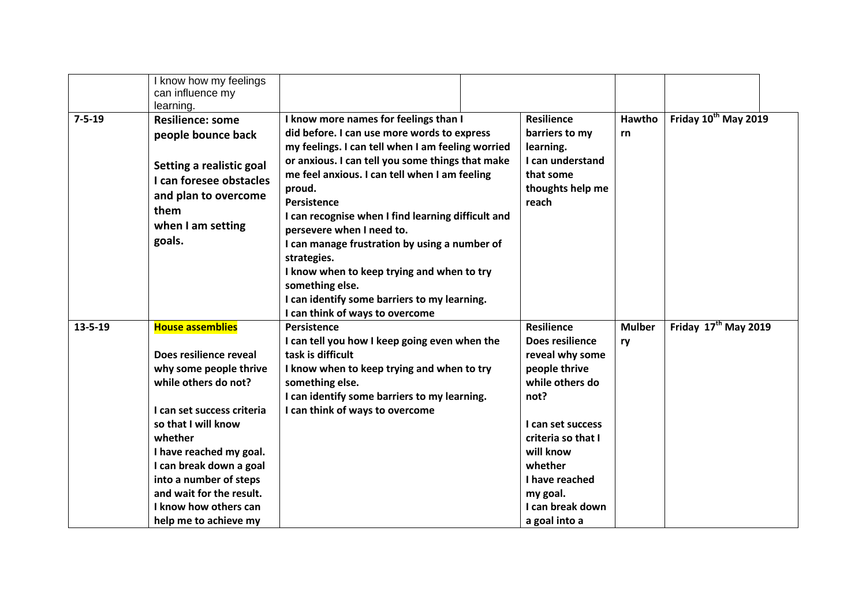|               | I know how my feelings<br>can influence my<br>learning.                                                                                                                                                                                                                                                                           |                                                                                                                                                                                                                                                                                                                                                                                                                                                                                                                                                                                |                                                                                                                                                                                                                                           |                     |                                  |
|---------------|-----------------------------------------------------------------------------------------------------------------------------------------------------------------------------------------------------------------------------------------------------------------------------------------------------------------------------------|--------------------------------------------------------------------------------------------------------------------------------------------------------------------------------------------------------------------------------------------------------------------------------------------------------------------------------------------------------------------------------------------------------------------------------------------------------------------------------------------------------------------------------------------------------------------------------|-------------------------------------------------------------------------------------------------------------------------------------------------------------------------------------------------------------------------------------------|---------------------|----------------------------------|
| $7 - 5 - 19$  | <b>Resilience: some</b><br>people bounce back<br>Setting a realistic goal<br>I can foresee obstacles<br>and plan to overcome<br>them<br>when I am setting<br>goals.                                                                                                                                                               | I know more names for feelings than I<br>did before. I can use more words to express<br>my feelings. I can tell when I am feeling worried<br>or anxious. I can tell you some things that make<br>me feel anxious. I can tell when I am feeling<br>proud.<br>Persistence<br>I can recognise when I find learning difficult and<br>persevere when I need to.<br>I can manage frustration by using a number of<br>strategies.<br>I know when to keep trying and when to try<br>something else.<br>I can identify some barriers to my learning.<br>I can think of ways to overcome | <b>Resilience</b><br>barriers to my<br>learning.<br>I can understand<br>that some<br>thoughts help me<br>reach                                                                                                                            | Hawtho<br>rn        | Friday 10 <sup>th</sup> May 2019 |
| $13 - 5 - 19$ | <b>House assemblies</b><br>Does resilience reveal<br>why some people thrive<br>while others do not?<br>I can set success criteria<br>so that I will know<br>whether<br>I have reached my goal.<br>I can break down a goal<br>into a number of steps<br>and wait for the result.<br>I know how others can<br>help me to achieve my | <b>Persistence</b><br>I can tell you how I keep going even when the<br>task is difficult<br>I know when to keep trying and when to try<br>something else.<br>I can identify some barriers to my learning.<br>I can think of ways to overcome                                                                                                                                                                                                                                                                                                                                   | <b>Resilience</b><br>Does resilience<br>reveal why some<br>people thrive<br>while others do<br>not?<br>I can set success<br>criteria so that I<br>will know<br>whether<br>I have reached<br>my goal.<br>I can break down<br>a goal into a | <b>Mulber</b><br>ry | Friday 17 <sup>th</sup> May 2019 |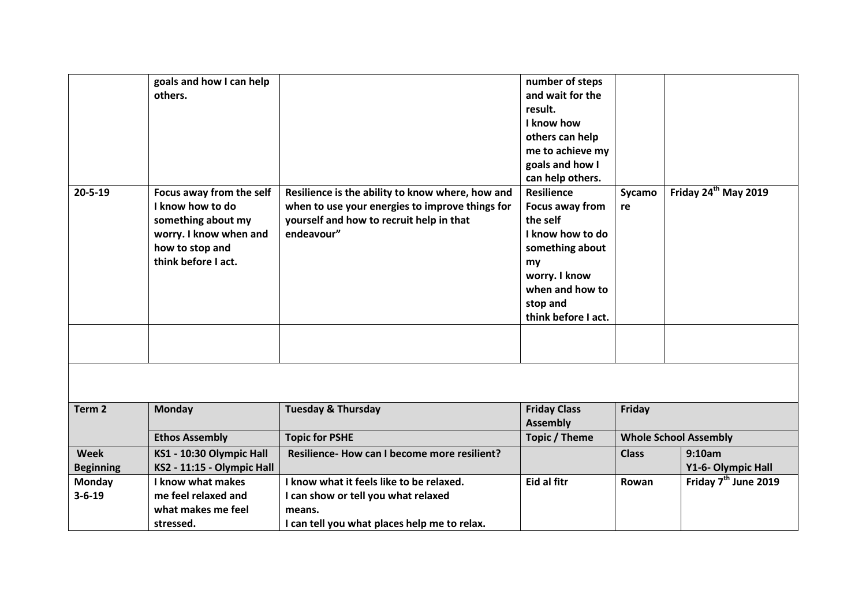|                   | goals and how I can help   |                                                  | number of steps     |              |                                  |
|-------------------|----------------------------|--------------------------------------------------|---------------------|--------------|----------------------------------|
|                   | others.                    |                                                  | and wait for the    |              |                                  |
|                   |                            |                                                  | result.             |              |                                  |
|                   |                            |                                                  | I know how          |              |                                  |
|                   |                            |                                                  | others can help     |              |                                  |
|                   |                            |                                                  | me to achieve my    |              |                                  |
|                   |                            |                                                  | goals and how I     |              |                                  |
|                   |                            |                                                  | can help others.    |              |                                  |
| $20 - 5 - 19$     | Focus away from the self   | Resilience is the ability to know where, how and | <b>Resilience</b>   | Sycamo       | Friday 24 <sup>th</sup> May 2019 |
|                   | I know how to do           | when to use your energies to improve things for  | Focus away from     | re           |                                  |
|                   | something about my         | yourself and how to recruit help in that         | the self            |              |                                  |
|                   | worry. I know when and     | endeavour"                                       | I know how to do    |              |                                  |
|                   | how to stop and            |                                                  | something about     |              |                                  |
|                   | think before I act.        |                                                  | my                  |              |                                  |
|                   |                            |                                                  | worry. I know       |              |                                  |
|                   |                            |                                                  | when and how to     |              |                                  |
|                   |                            |                                                  | stop and            |              |                                  |
|                   |                            |                                                  | think before I act. |              |                                  |
|                   |                            |                                                  |                     |              |                                  |
|                   |                            |                                                  |                     |              |                                  |
|                   |                            |                                                  |                     |              |                                  |
|                   |                            |                                                  |                     |              |                                  |
|                   |                            |                                                  |                     |              |                                  |
| Term <sub>2</sub> | <b>Monday</b>              | <b>Tuesday &amp; Thursday</b>                    | <b>Friday Class</b> | Friday       |                                  |
|                   |                            |                                                  | <b>Assembly</b>     |              |                                  |
|                   | <b>Ethos Assembly</b>      | <b>Topic for PSHE</b>                            | Topic / Theme       |              | <b>Whole School Assembly</b>     |
|                   |                            |                                                  |                     |              |                                  |
| <b>Week</b>       | KS1 - 10:30 Olympic Hall   | Resilience- How can I become more resilient?     |                     | <b>Class</b> | 9:10am                           |
| <b>Beginning</b>  | KS2 - 11:15 - Olympic Hall |                                                  |                     |              | Y1-6- Olympic Hall               |
| <b>Monday</b>     | I know what makes          | I know what it feels like to be relaxed.         | Eid al fitr         | Rowan        | Friday 7 <sup>th</sup> June 2019 |
| $3 - 6 - 19$      | me feel relaxed and        | I can show or tell you what relaxed              |                     |              |                                  |
|                   | what makes me feel         | means.                                           |                     |              |                                  |
|                   | stressed.                  | I can tell you what places help me to relax.     |                     |              |                                  |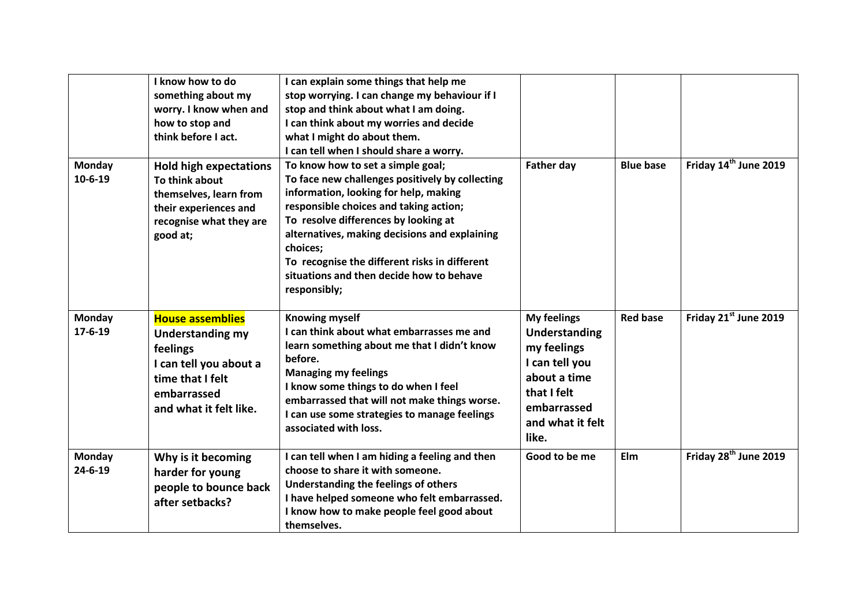|                                | I know how to do<br>something about my<br>worry. I know when and<br>how to stop and<br>think before I act.                                            | I can explain some things that help me<br>stop worrying. I can change my behaviour if I<br>stop and think about what I am doing.<br>I can think about my worries and decide<br>what I might do about them.<br>I can tell when I should share a worry.                                                                                                                                     |                                                                                                                                                 |                  |                                   |
|--------------------------------|-------------------------------------------------------------------------------------------------------------------------------------------------------|-------------------------------------------------------------------------------------------------------------------------------------------------------------------------------------------------------------------------------------------------------------------------------------------------------------------------------------------------------------------------------------------|-------------------------------------------------------------------------------------------------------------------------------------------------|------------------|-----------------------------------|
| <b>Monday</b><br>$10 - 6 - 19$ | <b>Hold high expectations</b><br>To think about<br>themselves, learn from<br>their experiences and<br>recognise what they are<br>good at;             | To know how to set a simple goal;<br>To face new challenges positively by collecting<br>information, looking for help, making<br>responsible choices and taking action;<br>To resolve differences by looking at<br>alternatives, making decisions and explaining<br>choices;<br>To recognise the different risks in different<br>situations and then decide how to behave<br>responsibly; | <b>Father day</b>                                                                                                                               | <b>Blue base</b> | Friday 14 <sup>th</sup> June 2019 |
| Monday<br>$17 - 6 - 19$        | <b>House assemblies</b><br><b>Understanding my</b><br>feelings<br>I can tell you about a<br>time that I felt<br>embarrassed<br>and what it felt like. | <b>Knowing myself</b><br>can think about what embarrasses me and<br>learn something about me that I didn't know<br>before.<br><b>Managing my feelings</b><br>I know some things to do when I feel<br>embarrassed that will not make things worse.<br>I can use some strategies to manage feelings<br>associated with loss.                                                                | <b>My feelings</b><br>Understanding<br>my feelings<br>I can tell you<br>about a time<br>that I felt<br>embarrassed<br>and what it felt<br>like. | <b>Red base</b>  | Friday 21st June 2019             |
| Monday<br>$24 - 6 - 19$        | Why is it becoming<br>harder for young<br>people to bounce back<br>after setbacks?                                                                    | I can tell when I am hiding a feeling and then<br>choose to share it with someone.<br>Understanding the feelings of others<br>I have helped someone who felt embarrassed.<br>I know how to make people feel good about<br>themselves.                                                                                                                                                     | Good to be me                                                                                                                                   | Elm              | Friday 28 <sup>th</sup> June 2019 |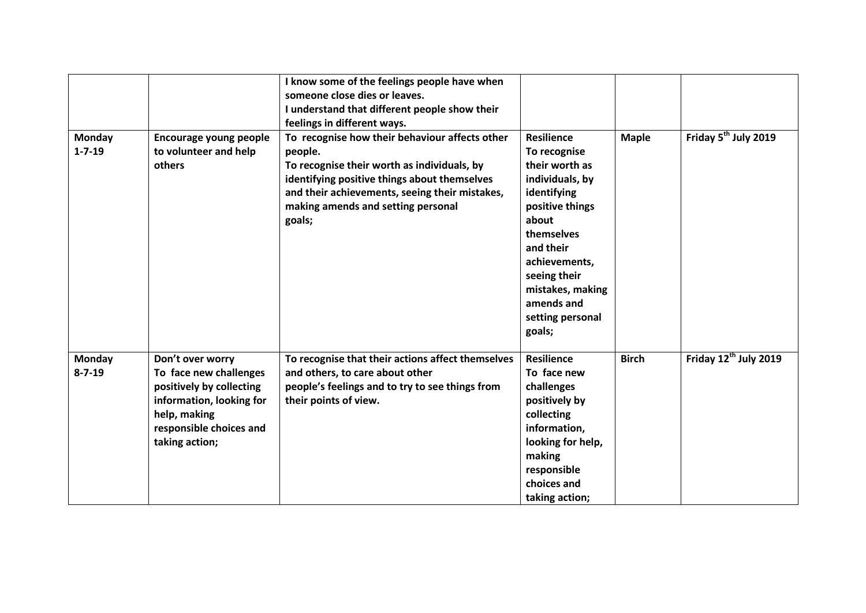|                        |                                                                                                                                                                 | I know some of the feelings people have when<br>someone close dies or leaves.<br>I understand that different people show their<br>feelings in different ways.                                                                                              |                                                                                                                                                                                                                                               |              |                                   |
|------------------------|-----------------------------------------------------------------------------------------------------------------------------------------------------------------|------------------------------------------------------------------------------------------------------------------------------------------------------------------------------------------------------------------------------------------------------------|-----------------------------------------------------------------------------------------------------------------------------------------------------------------------------------------------------------------------------------------------|--------------|-----------------------------------|
| Monday<br>$1 - 7 - 19$ | Encourage young people<br>to volunteer and help<br>others                                                                                                       | To recognise how their behaviour affects other<br>people.<br>To recognise their worth as individuals, by<br>identifying positive things about themselves<br>and their achievements, seeing their mistakes,<br>making amends and setting personal<br>goals; | <b>Resilience</b><br>To recognise<br>their worth as<br>individuals, by<br>identifying<br>positive things<br>about<br>themselves<br>and their<br>achievements,<br>seeing their<br>mistakes, making<br>amends and<br>setting personal<br>goals; | <b>Maple</b> | Friday 5 <sup>th</sup> July 2019  |
| Monday<br>$8 - 7 - 19$ | Don't over worry<br>To face new challenges<br>positively by collecting<br>information, looking for<br>help, making<br>responsible choices and<br>taking action; | To recognise that their actions affect themselves<br>and others, to care about other<br>people's feelings and to try to see things from<br>their points of view.                                                                                           | <b>Resilience</b><br>To face new<br>challenges<br>positively by<br>collecting<br>information,<br>looking for help,<br>making<br>responsible<br>choices and<br>taking action;                                                                  | <b>Birch</b> | Friday 12 <sup>th</sup> July 2019 |